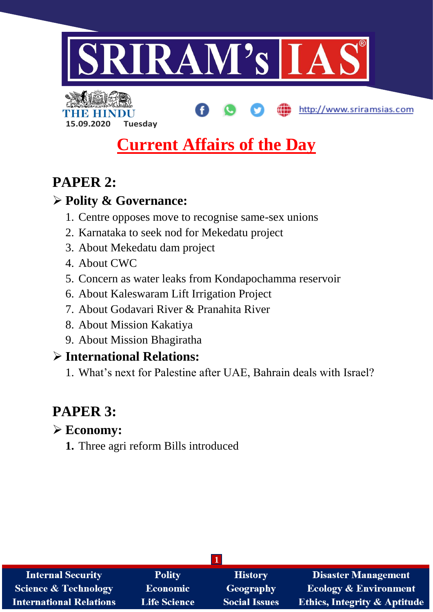



# **Current Affairs of the Day**

http://www.sriramsias.com

# **PAPER 2:**

# **Polity & Governance:**

- 1. Centre opposes move to recognise same-sex unions
- 2. Karnataka to seek nod for Mekedatu project
- 3. About Mekedatu dam project
- 4. About CWC
- 5. Concern as water leaks from Kondapochamma reservoir
- 6. About Kaleswaram Lift Irrigation Project
- 7. About Godavari River & Pranahita River
- 8. About Mission Kakatiya
- 9. About Mission Bhagiratha

# **International Relations:**

1. What's next for Palestine after UAE, Bahrain deals with Israel?

# **PAPER 3:**

# **Economy:**

**1.** Three agri reform Bills introduced

| <b>Internal Security</b>        | <b>Polity</b>       | <b>History</b>       | <b>Disaster Management</b>              |  |
|---------------------------------|---------------------|----------------------|-----------------------------------------|--|
| <b>Science &amp; Technology</b> | <b>Economic</b>     | Geography            | <b>Ecology &amp; Environment</b>        |  |
| <b>International Relations</b>  | <b>Life Science</b> | <b>Social Issues</b> | <b>Ethics, Integrity &amp; Aptitude</b> |  |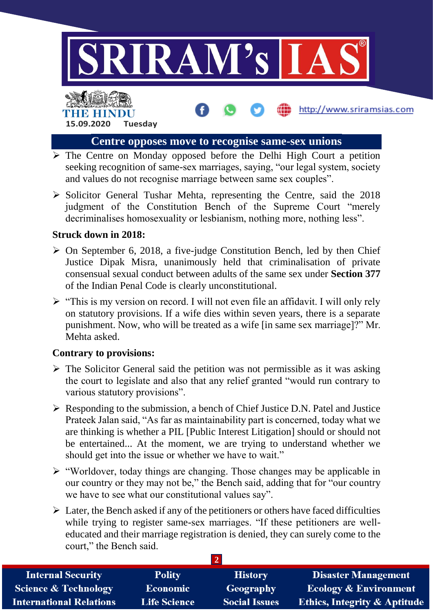

http://www.sriramsias.com

# **Centre opposes move to recognise same-sex unions**

- $\triangleright$  The Centre on Monday opposed before the Delhi High Court a petition seeking recognition of same-sex marriages, saying, "our legal system, society and values do not recognise marriage between same sex couples".
- $\triangleright$  Solicitor General Tushar Mehta, representing the Centre, said the 2018 judgment of the Constitution Bench of the Supreme Court "merely decriminalises homosexuality or lesbianism, nothing more, nothing less".

#### **Struck down in 2018:**

**15.09.2020 Tuesday**

**THE ENDS OF THE** 

- $\triangleright$  On September 6, 2018, a five-judge Constitution Bench, led by then Chief Justice Dipak Misra, unanimously held that criminalisation of private consensual sexual conduct between adults of the same sex under **Section 377** of the Indian Penal Code is clearly unconstitutional.
- $\triangleright$  "This is my version on record. I will not even file an affidavit. I will only rely on statutory provisions. If a wife dies within seven years, there is a separate punishment. Now, who will be treated as a wife [in same sex marriage]?" Mr. Mehta asked.

#### **Contrary to provisions:**

- $\triangleright$  The Solicitor General said the petition was not permissible as it was asking the court to legislate and also that any relief granted "would run contrary to various statutory provisions".
- $\triangleright$  Responding to the submission, a bench of Chief Justice D.N. Patel and Justice Prateek Jalan said, "As far as maintainability part is concerned, today what we are thinking is whether a PIL [Public Interest Litigation] should or should not be entertained... At the moment, we are trying to understand whether we should get into the issue or whether we have to wait."
- $\triangleright$  "Worldover, today things are changing. Those changes may be applicable in our country or they may not be," the Bench said, adding that for "our country we have to see what our constitutional values say".
- $\triangleright$  Later, the Bench asked if any of the petitioners or others have faced difficulties while trying to register same-sex marriages. "If these petitioners are welleducated and their marriage registration is denied, they can surely come to the court," the Bench said.

| <b>Internal Security</b>        | <b>Polity</b>       | <b>History</b>       | <b>Disaster Management</b>              |
|---------------------------------|---------------------|----------------------|-----------------------------------------|
| <b>Science &amp; Technology</b> | <b>Economic</b>     | Geography            | <b>Ecology &amp; Environment</b>        |
| <b>International Relations</b>  | <b>Life Science</b> | <b>Social Issues</b> | <b>Ethics, Integrity &amp; Aptitude</b> |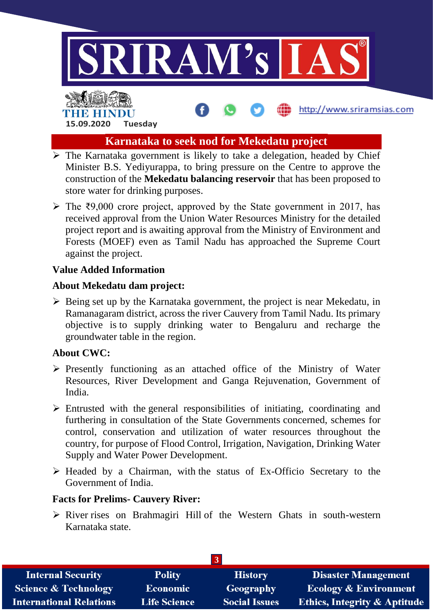

http://www.sriramsias.com

# **Karnataka to seek nod for Mekedatu project**

- $\triangleright$  The Karnataka government is likely to take a delegation, headed by Chief Minister B.S. Yediyurappa, to bring pressure on the Centre to approve the construction of the **Mekedatu balancing reservoir** that has been proposed to store water for drinking purposes.
- $\triangleright$  The ₹9,000 crore project, approved by the State government in 2017, has received approval from the Union Water Resources Ministry for the detailed project report and is awaiting approval from the Ministry of Environment and Forests (MOEF) even as Tamil Nadu has approached the Supreme Court against the project.

#### **Value Added Information**

**15.09.2020 Tuesday**

THE HIND

#### **About Mekedatu dam project:**

 $\triangleright$  Being set up by the Karnataka government, the project is near Mekedatu, in Ramanagaram district, across the river Cauvery from Tamil Nadu. Its primary objective is to supply drinking water to Bengaluru and recharge the groundwater table in the region.

## **About CWC:**

- $\triangleright$  Presently functioning as an attached office of the Ministry of Water Resources, River Development and Ganga Rejuvenation, Government of India.
- $\triangleright$  Entrusted with the general responsibilities of initiating, coordinating and furthering in consultation of the State Governments concerned, schemes for control, conservation and utilization of water resources throughout the country, for purpose of Flood Control, Irrigation, Navigation, Drinking Water Supply and Water Power Development.
- $\triangleright$  Headed by a Chairman, with the status of Ex-Officio Secretary to the Government of India.

## **Facts for Prelims- Cauvery River:**

 $\triangleright$  River rises on Brahmagiri Hill of the Western Ghats in south-western Karnataka state.

| <b>Internal Security</b>        | <b>Polity</b>       | <b>History</b>       | <b>Disaster Management</b>              |  |
|---------------------------------|---------------------|----------------------|-----------------------------------------|--|
| <b>Science &amp; Technology</b> | <b>Economic</b>     | Geography            | <b>Ecology &amp; Environment</b>        |  |
| <b>International Relations</b>  | <b>Life Science</b> | <b>Social Issues</b> | <b>Ethics, Integrity &amp; Aptitude</b> |  |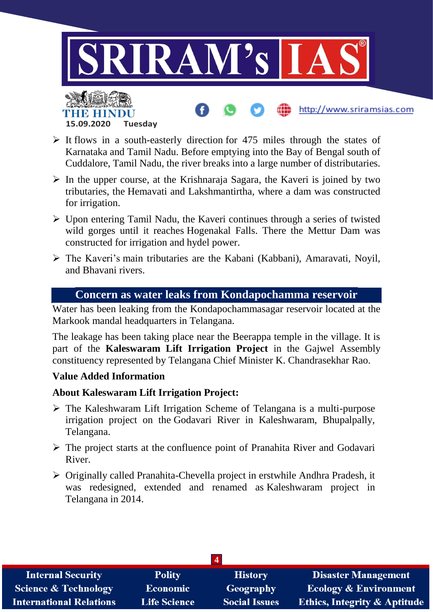

## $\triangleright$  It flows in a south-easterly direction for 475 miles through the states of Karnataka and Tamil Nadu. Before emptying into the Bay of Bengal south of Cuddalore, Tamil Nadu, the river breaks into a large number of distributaries.

- $\triangleright$  In the upper course, at the Krishnaraja Sagara, the Kaveri is joined by two tributaries, the Hemavati and Lakshmantirtha, where a dam was constructed for irrigation.
- $\triangleright$  Upon entering Tamil Nadu, the Kaveri continues through a series of twisted wild gorges until it reaches Hogenakal Falls. There the Mettur Dam was constructed for irrigation and hydel power.
- The Kaveri's main tributaries are the Kabani (Kabbani), Amaravati, Noyil, and Bhavani rivers.

## **Concern as water leaks from Kondapochamma reservoir**

Water has been leaking from the Kondapochammasagar reservoir located at the Markook mandal headquarters in Telangana.

The leakage has been taking place near the Beerappa temple in the village. It is part of the **Kaleswaram Lift Irrigation Project** in the Gajwel Assembly constituency represented by Telangana Chief Minister K. Chandrasekhar Rao.

## **Value Added Information**

**15.09.2020 Tuesday**

## **About Kaleswaram Lift Irrigation Project:**

- $\triangleright$  The Kaleshwaram Lift Irrigation Scheme of Telangana is a multi-purpose irrigation project on the Godavari River in Kaleshwaram, Bhupalpally, Telangana.
- $\triangleright$  The project starts at the confluence point of Pranahita River and Godavari River.
- Originally called Pranahita*-*Chevella project in erstwhile Andhra Pradesh, it was redesigned, extended and renamed as Kaleshwaram project in Telangana in 2014.

|                                 |                     | $\boldsymbol{\Delta}$ |                                         |
|---------------------------------|---------------------|-----------------------|-----------------------------------------|
| <b>Internal Security</b>        | <b>Polity</b>       | <b>History</b>        | <b>Disaster Management</b>              |
| <b>Science &amp; Technology</b> | <b>Economic</b>     | Geography             | <b>Ecology &amp; Environment</b>        |
| <b>International Relations</b>  | <b>Life Science</b> | <b>Social Issues</b>  | <b>Ethics, Integrity &amp; Aptitude</b> |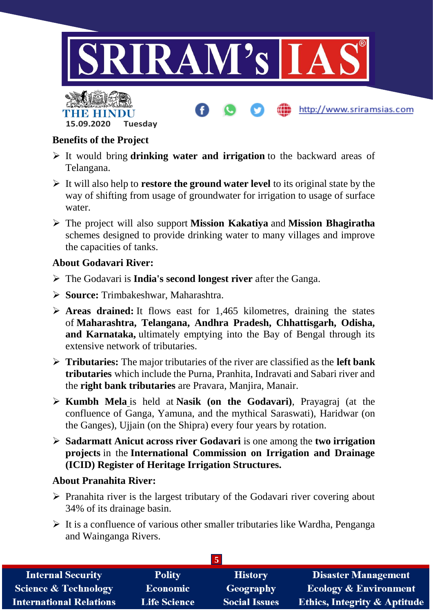

## **Benefits of the Project**

THE BELLET

**15.09.2020 Tuesday**

- It would bring **drinking water and irrigation** to the backward areas of Telangana.
- It will also help to **restore the ground water level** to its original state by the way of shifting from usage of groundwater for irrigation to usage of surface water.
- The project will also support **Mission Kakatiya** and **Mission Bhagiratha** schemes designed to provide drinking water to many villages and improve the capacities of tanks.

#### **About Godavari River:**

- The Godavari is **India's second longest river** after the Ganga.
- **Source:** Trimbakeshwar, Maharashtra.
- **Areas drained:** It flows east for 1,465 kilometres, draining the states of **Maharashtra, Telangana, Andhra Pradesh, Chhattisgarh, Odisha, and Karnataka,** ultimately emptying into the Bay of Bengal through its extensive network of tributaries.
- **Tributaries:** The major tributaries of the river are classified as the **left bank tributaries** which include the Purna, Pranhita, Indravati and Sabari river and the **right bank tributaries** are Pravara, Manjira, Manair.
- **[Kumbh Mela](https://www.drishtiias.com/daily-updates/daily-news-analysis/navroz)** is held at **Nasik (on the Godavari)**, Prayagraj (at the confluence of Ganga, Yamuna, and the mythical Saraswati), Haridwar (on the Ganges), Ujjain (on the Shipra) every four years by rotation.
- **Sadarmatt Anicut across river Godavari** is one among the **two irrigation projects** in the **International Commission on Irrigation and Drainage (ICID) Register of Heritage Irrigation Structures.**

#### **About Pranahita River:**

- $\triangleright$  Pranahita river is the largest tributary of the Godavari river covering about 34% of its drainage basin.
- $\triangleright$  It is a confluence of various other smaller tributaries like Wardha, Penganga and Wainganga Rivers.

| <b>Internal Security</b>        | <b>Polity</b>       | <b>History</b>       | <b>Disaster Management</b>              |  |
|---------------------------------|---------------------|----------------------|-----------------------------------------|--|
| <b>Science &amp; Technology</b> | <b>Economic</b>     | Geography            | <b>Ecology &amp; Environment</b>        |  |
| <b>International Relations</b>  | <b>Life Science</b> | <b>Social Issues</b> | <b>Ethics, Integrity &amp; Aptitude</b> |  |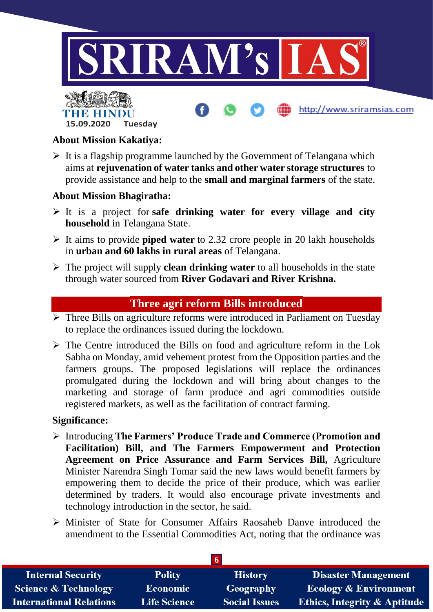

http://www.sriramsias.com

# **About Mission Kakatiya:**

THE BELLET

**15.09.2020 Tuesday**

 $\triangleright$  It is a flagship programme launched by the Government of Telangana which aims at **rejuvenation of water tanks and other water storage structures** to provide assistance and help to the **small and marginal farmers** of the state.

#### **About Mission Bhagiratha:**

- It is a project for **safe drinking water for every village and city household** in Telangana State.
- It aims to provide **piped water** to 2.32 crore people in 20 lakh households in **urban and 60 lakhs in rural areas** of Telangana.
- The project will supply **clean drinking water** to all households in the state through water sourced from **River Godavari and River Krishna.**

#### **Three agri reform Bills introduced**

- $\triangleright$  Three Bills on agriculture reforms were introduced in Parliament on Tuesday to replace the ordinances issued during the lockdown.
- $\triangleright$  The Centre introduced the Bills on food and agriculture reform in the Lok Sabha on Monday, amid vehement protest from the Opposition parties and the farmers groups. The proposed legislations will replace the ordinances promulgated during the lockdown and will bring about changes to the marketing and storage of farm produce and agri commodities outside registered markets, as well as the facilitation of contract farming.

#### **Significance:**

- Introducing **The Farmers' Produce Trade and Commerce (Promotion and Facilitation) Bill, and The Farmers Empowerment and Protection Agreement on Price Assurance and Farm Services Bill,** Agriculture Minister Narendra Singh Tomar said the new laws would benefit farmers by empowering them to decide the price of their produce, which was earlier determined by traders. It would also encourage private investments and technology introduction in the sector, he said.
- Minister of State for Consumer Affairs Raosaheb Danve introduced the amendment to the Essential Commodities Act, noting that the ordinance was

| <b>Internal Security</b>        | <b>Polity</b>       | <b>History</b>       | <b>Disaster Management</b>              |  |
|---------------------------------|---------------------|----------------------|-----------------------------------------|--|
| <b>Science &amp; Technology</b> | Economic            | Geography            | <b>Ecology &amp; Environment</b>        |  |
| <b>International Relations</b>  | <b>Life Science</b> | <b>Social Issues</b> | <b>Ethics, Integrity &amp; Aptitude</b> |  |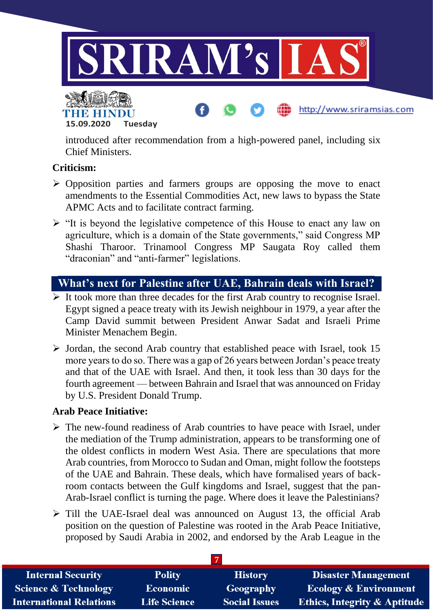

**15.09.2020 Tuesday**

introduced after recommendation from a high-powered panel, including six Chief Ministers.

## **Criticism:**

- $\triangleright$  Opposition parties and farmers groups are opposing the move to enact amendments to the Essential Commodities Act, new laws to bypass the State APMC Acts and to facilitate contract farming.
- $\triangleright$  "It is beyond the legislative competence of this House to enact any law on agriculture, which is a domain of the State governments," said Congress MP Shashi Tharoor. Trinamool Congress MP Saugata Roy called them "draconian" and "anti-farmer" legislations.

# **What's next for Palestine after UAE, Bahrain deals with Israel?**

- $\triangleright$  It took more than three decades for the first Arab country to recognise Israel. Egypt signed a peace treaty with its Jewish neighbour in 1979, a year after the Camp David summit between President Anwar Sadat and Israeli Prime Minister Menachem Begin.
- $\triangleright$  Jordan, the second Arab country that established peace with Israel, took 15 more years to do so. There was a gap of 26 years between Jordan's peace treaty and that of the UAE with Israel. And then, it took less than 30 days for the fourth agreement — between Bahrain and Israel that was announced on Friday by U.S. President Donald Trump.

## **Arab Peace Initiative:**

- $\triangleright$  The new-found readiness of Arab countries to have peace with Israel, under the mediation of the Trump administration, appears to be transforming one of the oldest conflicts in modern West Asia. There are speculations that more Arab countries, from Morocco to Sudan and Oman, might follow the footsteps of the UAE and Bahrain. These deals, which have formalised years of backroom contacts between the Gulf kingdoms and Israel, suggest that the pan-Arab-Israel conflict is turning the page. Where does it leave the Palestinians?
- $\triangleright$  Till the UAE-Israel deal was announced on August 13, the official Arab position on the question of Palestine was rooted in the Arab Peace Initiative, proposed by Saudi Arabia in 2002, and endorsed by the Arab League in the

| <b>Internal Security</b>        | <b>Polity</b>       | <b>History</b>       | <b>Disaster Management</b>              |
|---------------------------------|---------------------|----------------------|-----------------------------------------|
| <b>Science &amp; Technology</b> | <b>Economic</b>     | Geography            | <b>Ecology &amp; Environment</b>        |
| <b>International Relations</b>  | <b>Life Science</b> | <b>Social Issues</b> | <b>Ethics, Integrity &amp; Aptitude</b> |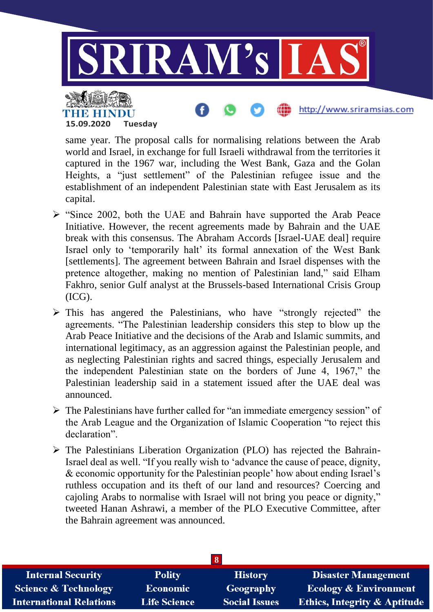

same year. The proposal calls for normalising relations between the Arab world and Israel, in exchange for full Israeli withdrawal from the territories it captured in the 1967 war, including the West Bank, Gaza and the Golan Heights, a "just settlement" of the Palestinian refugee issue and the establishment of an independent Palestinian state with East Jerusalem as its capital.

**15.09.2020 Tuesday**

- $\triangleright$  "Since 2002, both the UAE and Bahrain have supported the Arab Peace Initiative. However, the recent agreements made by Bahrain and the UAE break with this consensus. The Abraham Accords [Israel-UAE deal] require Israel only to 'temporarily halt' its formal annexation of the West Bank [settlements]. The agreement between Bahrain and Israel dispenses with the pretence altogether, making no mention of Palestinian land," said Elham Fakhro, senior Gulf analyst at the Brussels-based International Crisis Group (ICG).
- $\triangleright$  This has angered the Palestinians, who have "strongly rejected" the agreements. "The Palestinian leadership considers this step to blow up the Arab Peace Initiative and the decisions of the Arab and Islamic summits, and international legitimacy, as an aggression against the Palestinian people, and as neglecting Palestinian rights and sacred things, especially Jerusalem and the independent Palestinian state on the borders of June 4, 1967," the Palestinian leadership said in a statement issued after the UAE deal was announced.
- $\triangleright$  The Palestinians have further called for "an immediate emergency session" of the Arab League and the Organization of Islamic Cooperation "to reject this declaration".
- $\triangleright$  The Palestinians Liberation Organization (PLO) has rejected the Bahrain-Israel deal as well. "If you really wish to 'advance the cause of peace, dignity, & economic opportunity for the Palestinian people' how about ending Israel's ruthless occupation and its theft of our land and resources? Coercing and cajoling Arabs to normalise with Israel will not bring you peace or dignity," tweeted Hanan Ashrawi, a member of the PLO Executive Committee, after the Bahrain agreement was announced.

| 8                               |                     |                      |                                         |  |
|---------------------------------|---------------------|----------------------|-----------------------------------------|--|
| <b>Internal Security</b>        | <b>Polity</b>       | <b>History</b>       | <b>Disaster Management</b>              |  |
| <b>Science &amp; Technology</b> | Economic            | Geography            | <b>Ecology &amp; Environment</b>        |  |
| <b>International Relations</b>  | <b>Life Science</b> | <b>Social Issues</b> | <b>Ethics, Integrity &amp; Aptitude</b> |  |